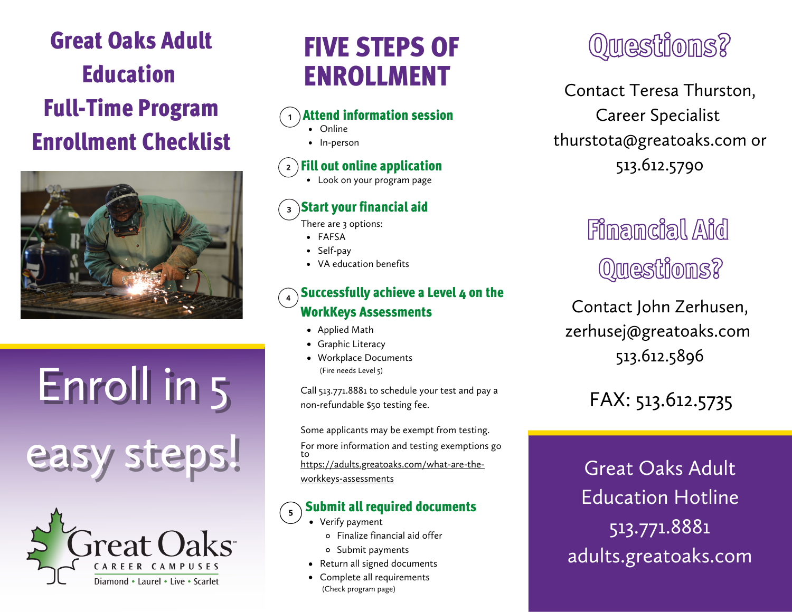# Great Oaks Adult Education Full-Time Program Enrollment Checklist



Enroll in 5 easy steps!



# FIVE STEPS OF ENROLLMENT

#### Attend information session

- Online
	- In-person

#### Fill out online application

Look on your program page

#### Start your financial aid

There are 3 options:

- FAFSA
- Self-pay
- VA education benefits

#### Successfully achieve a Level 4 on the WorkKeys Assessments

- Applied Math
- Graphic Literacy
- Workplace Documents (Fire needs Level 5)

Call 513.771.8881 to schedule your test and pay a non-refundable \$50 testing fee.

Some applicants may be exempt from testing. For more information and testing exemptions go to [https://adults.greatoaks.com/what-are-the](https://adults.greatoaks.com/what-are-the-workkeys-assessments)workkeys-assessments

#### Submit all required documents  $\overline{\mathbf{5}}$

- Verify payment
	- Finalize financial aid offer
	- o Submit payments
- Return all signed documents
- Complete all requirements (Check program page)

# Questions?

Contact Teresa Thurston, Career Specialist thurstota@greatoaks.com or 513.612.5790

# Filmamcial Aid Questions?

Contact John Zerhusen, zerhusej@greatoaks.com 513.612.5896

# FAX: 513.612.5735

Great Oaks Adult Education Hotline 513.771.8881 adults.greatoaks.com